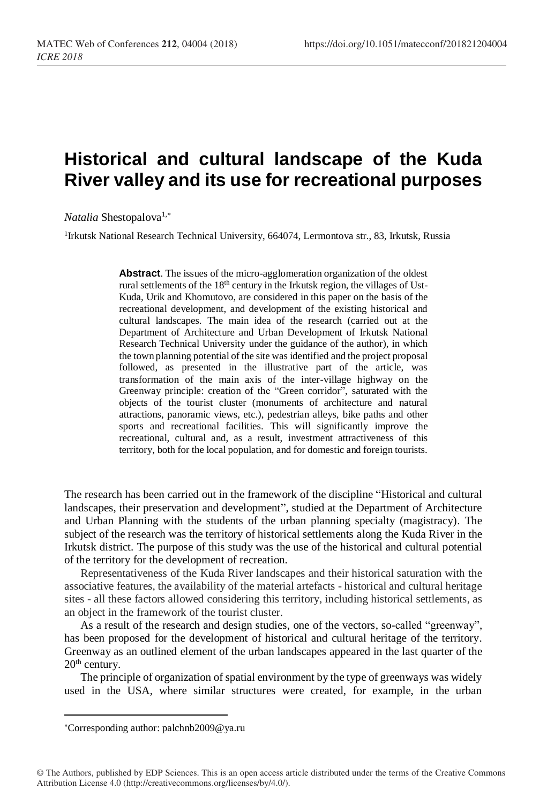## **Historical and cultural landscape of the Kuda River valley and its use for recreational purposes**

*Natalia* Shestopalova<sup>1,\*</sup>

<sup>1</sup>Irkutsk National Research Technical University, 664074, Lermontova str., 83, Irkutsk, Russia

**Abstract**. The issues of the micro-agglomeration organization of the oldest rural settlements of the 18<sup>th</sup> century in the Irkutsk region, the villages of Ust-Kuda, Urik and Khomutovo, are considered in this paper on the basis of the recreational development, and development of the existing historical and cultural landscapes. The main idea of the research (carried out at the Department of Architecture and Urban Development of Irkutsk National Research Technical University under the guidance of the author), in which the town planning potential of the site was identified and the project proposal followed, as presented in the illustrative part of the article, was transformation of the main axis of the inter-village highway on the Greenway principle: creation of the "Green corridor", saturated with the objects of the tourist cluster (monuments of architecture and natural attractions, panoramic views, etc.), pedestrian alleys, bike paths and other sports and recreational facilities. This will significantly improve the recreational, cultural and, as a result, investment attractiveness of this territory, both for the local population, and for domestic and foreign tourists.

The research has been carried out in the framework of the discipline "Historical and cultural landscapes, their preservation and development", studied at the Department of Architecture and Urban Planning with the students of the urban planning specialty (magistracy). The subject of the research was the territory of historical settlements along the Kuda River in the Irkutsk district. The purpose of this study was the use of the historical and cultural potential of the territory for the development of recreation.

Representativeness of the Kuda River landscapes and their historical saturation with the associative features, the availability of the material artefacts - historical and cultural heritage sites - all these factors allowed considering this territory, including historical settlements, as an object in the framework of the tourist cluster.

As a result of the research and design studies, one of the vectors, so-called "greenway", has been proposed for the development of historical and cultural heritage of the territory. Greenway as an outlined element of the urban landscapes appeared in the last quarter of the  $20<sup>th</sup>$  century.

The principle of organization of spatial environment by the type of greenways was widely used in the USA, where similar structures were created, for example, in the urban

l

Corresponding author: palchnb2009@ya.ru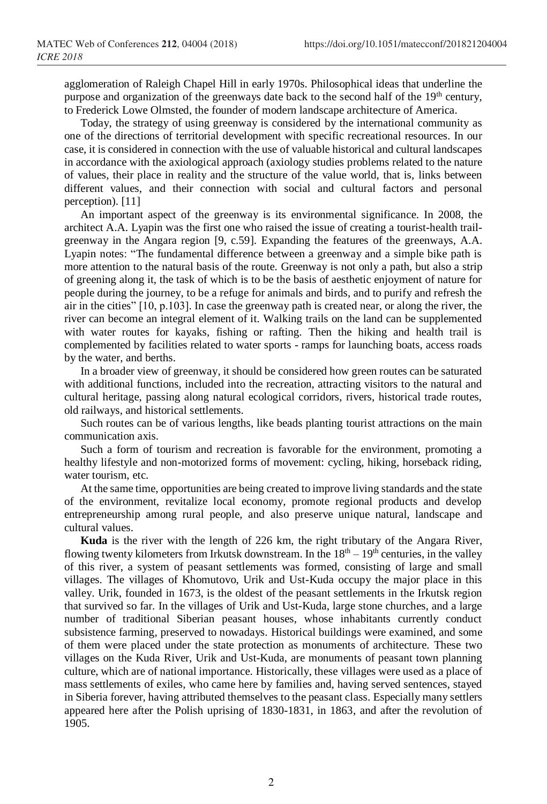agglomeration of Raleigh Chapel Hill in early 1970s. Philosophical ideas that underline the purpose and organization of the greenways date back to the second half of the 19<sup>th</sup> century, to Frederick Lowe Olmsted, the founder of modern landscape architecture of America.

Today, the strategy of using greenway is considered by the international community as one of the directions of territorial development with specific recreational resources. In our case, it is considered in connection with the use of valuable historical and cultural landscapes in accordance with the axiological approach (axiology studies problems related to the nature of values, their place in reality and the structure of the value world, that is, links between different values, and their connection with social and cultural factors and personal perception). [11]

An important aspect of the greenway is its environmental significance. In 2008, the architect A.A. Lyapin was the first one who raised the issue of creating a tourist-health trailgreenway in the Angara region [9, c.59]. Expanding the features of the greenways, A.A. Lyapin notes: "The fundamental difference between a greenway and a simple bike path is more attention to the natural basis of the route. Greenway is not only a path, but also a strip of greening along it, the task of which is to be the basis of aesthetic enjoyment of nature for people during the journey, to be a refuge for animals and birds, and to purify and refresh the air in the cities" [10, p.103]. In case the greenway path is created near, or along the river, the river can become an integral element of it. Walking trails on the land can be supplemented with water routes for kayaks, fishing or rafting. Then the hiking and health trail is complemented by facilities related to water sports - ramps for launching boats, access roads by the water, and berths.

In a broader view of greenway, it should be considered how green routes can be saturated with additional functions, included into the recreation, attracting visitors to the natural and cultural heritage, passing along natural ecological corridors, rivers, historical trade routes, old railways, and historical settlements.

Such routes can be of various lengths, like beads planting tourist attractions on the main communication axis.

Such a form of tourism and recreation is favorable for the environment, promoting a healthy lifestyle and non-motorized forms of movement: cycling, hiking, horseback riding, water tourism, etc.

At the same time, opportunities are being created to improve living standards and the state of the environment, revitalize local economy, promote regional products and develop entrepreneurship among rural people, and also preserve unique natural, landscape and cultural values.

**Kuda** is the river with the length of 226 km, the right tributary of the Angara River, flowing twenty kilometers from Irkutsk downstream. In the  $18<sup>th</sup> - 19<sup>th</sup>$  centuries, in the valley of this river, a system of peasant settlements was formed, consisting of large and small villages. The villages of Khomutovo, Urik and Ust-Kuda occupy the major place in this valley. Urik, founded in 1673, is the oldest of the peasant settlements in the Irkutsk region that survived so far. In the villages of Urik and Ust-Kuda, large stone churches, and a large number of traditional Siberian peasant houses, whose inhabitants currently conduct subsistence farming, preserved to nowadays. Historical buildings were examined, and some of them were placed under the state protection as monuments of architecture. These two villages on the Kuda River, Urik and Ust-Kuda, are monuments of peasant town planning culture, which are of national importance. Historically, these villages were used as a place of mass settlements of exiles, who came here by families and, having served sentences, stayed in Siberia forever, having attributed themselves to the peasant class. Especially many settlers appeared here after the Polish uprising of 1830-1831, in 1863, and after the revolution of 1905.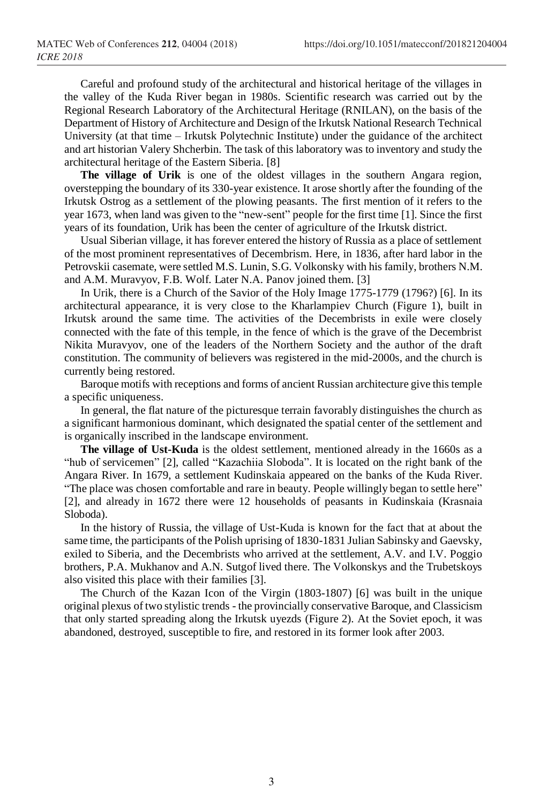Careful and profound study of the architectural and historical heritage of the villages in the valley of the Kuda River began in 1980s. Scientific research was carried out by the Regional Research Laboratory of the Architectural Heritage (RNILAN), on the basis of the Department of History of Architecture and Design of the Irkutsk National Research Technical University (at that time – Irkutsk Polytechnic Institute) under the guidance of the architect and art historian Valery Shcherbin. The task of this laboratory was to inventory and study the architectural heritage of the Eastern Siberia. [8]

**The village of Urik** is one of the oldest villages in the southern Angara region, overstepping the boundary of its 330-year existence. It arose shortly after the founding of the Irkutsk Ostrog as a settlement of the plowing peasants. The first mention of it refers to the year 1673, when land was given to the "new-sent" people for the first time [1]. Since the first years of its foundation, Urik has been the center of agriculture of the Irkutsk district.

Usual Siberian village, it has forever entered the history of Russia as a place of settlement of the most prominent representatives of Decembrism. Here, in 1836, after hard labor in the Petrovskii casemate, were settled M.S. Lunin, S.G. Volkonsky with his family, brothers N.M. and A.M. Muravyov, F.B. Wolf. Later N.A. Panov joined them. [3]

In Urik, there is a Church of the Savior of the Holy Image 1775-1779 (1796?) [6]. In its architectural appearance, it is very close to the Kharlampiev Church (Figure 1), built in Irkutsk around the same time. The activities of the Decembrists in exile were closely connected with the fate of this temple, in the fence of which is the grave of the Decembrist Nikita Muravyov, one of the leaders of the Northern Society and the author of the draft constitution. The community of believers was registered in the mid-2000s, and the church is currently being restored.

Baroque motifs with receptions and forms of ancient Russian architecture give this temple a specific uniqueness.

In general, the flat nature of the picturesque terrain favorably distinguishes the church as a significant harmonious dominant, which designated the spatial center of the settlement and is organically inscribed in the landscape environment.

**The village of Ust-Kuda** is the oldest settlement, mentioned already in the 1660s as a "hub of servicemen" [2], called "Kazachiia Sloboda". It is located on the right bank of the Angara River. In 1679, a settlement Kudinskaia appeared on the banks of the Kuda River. "The place was chosen comfortable and rare in beauty. People willingly began to settle here" [2], and already in 1672 there were 12 households of peasants in Kudinskaia (Krasnaia Sloboda).

In the history of Russia, the village of Ust-Kuda is known for the fact that at about the same time, the participants of the Polish uprising of 1830-1831 Julian Sabinsky and Gaevsky, exiled to Siberia, and the Decembrists who arrived at the settlement, A.V. and I.V. Poggio brothers, P.A. Mukhanov and A.N. Sutgof lived there. The Volkonskys and the Trubetskoys also visited this place with their families [3].

The Church of the Kazan Icon of the Virgin (1803-1807) [6] was built in the unique original plexus of two stylistic trends - the provincially conservative Baroque, and Classicism that only started spreading along the Irkutsk uyezds (Figure 2). At the Soviet epoch, it was abandoned, destroyed, susceptible to fire, and restored in its former look after 2003.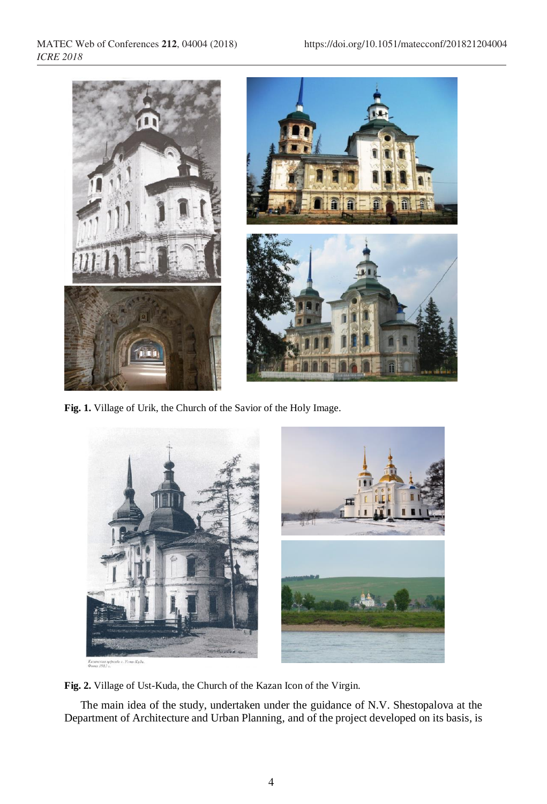

**Fig. 1.** Village of Urik, the Church of the Savior of the Holy Image.



**Fig. 2.** Village of Ust-Kuda, the Church of the Kazan Icon of the Virgin.

The main idea of the study, undertaken under the guidance of N.V. Shestopalova at the Department of Architecture and Urban Planning, and of the project developed on its basis, is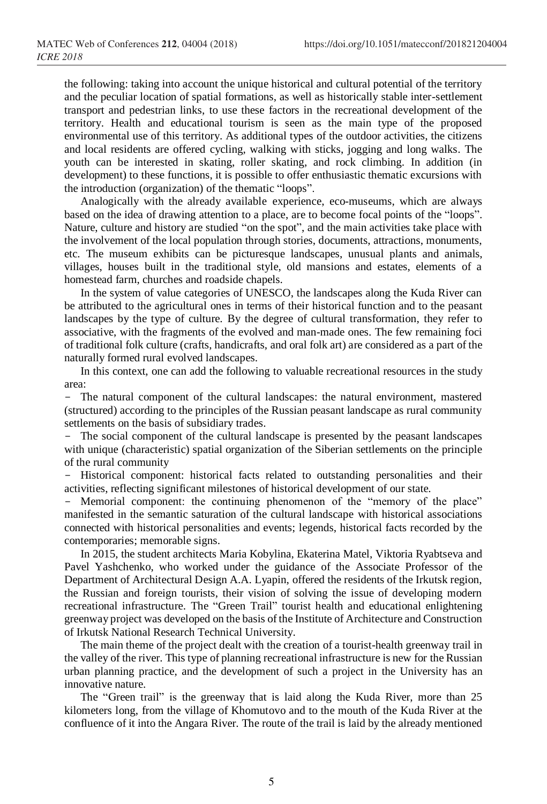the following: taking into account the unique historical and cultural potential of the territory and the peculiar location of spatial formations, as well as historically stable inter-settlement transport and pedestrian links, to use these factors in the recreational development of the territory. Health and educational tourism is seen as the main type of the proposed environmental use of this territory. As additional types of the outdoor activities, the citizens and local residents are offered cycling, walking with sticks, jogging and long walks. The youth can be interested in skating, roller skating, and rock climbing. In addition (in development) to these functions, it is possible to offer enthusiastic thematic excursions with the introduction (organization) of the thematic "loops".

Analogically with the already available experience, eco-museums, which are always based on the idea of drawing attention to a place, are to become focal points of the "loops". Nature, culture and history are studied "on the spot", and the main activities take place with the involvement of the local population through stories, documents, attractions, monuments, etc. The museum exhibits can be picturesque landscapes, unusual plants and animals, villages, houses built in the traditional style, old mansions and estates, elements of a homestead farm, churches and roadside chapels.

In the system of value categories of UNESCO, the landscapes along the Kuda River can be attributed to the agricultural ones in terms of their historical function and to the peasant landscapes by the type of culture. By the degree of cultural transformation, they refer to associative, with the fragments of the evolved and man-made ones. The few remaining foci of traditional folk culture (crafts, handicrafts, and oral folk art) are considered as a part of the naturally formed rural evolved landscapes.

In this context, one can add the following to valuable recreational resources in the study area:

- The natural component of the cultural landscapes: the natural environment, mastered (structured) according to the principles of the Russian peasant landscape as rural community settlements on the basis of subsidiary trades.

- The social component of the cultural landscape is presented by the peasant landscapes with unique (characteristic) spatial organization of the Siberian settlements on the principle of the rural community

- Historical component: historical facts related to outstanding personalities and their activities, reflecting significant milestones of historical development of our state.

Memorial component: the continuing phenomenon of the "memory of the place" manifested in the semantic saturation of the cultural landscape with historical associations connected with historical personalities and events; legends, historical facts recorded by the contemporaries; memorable signs.

In 2015, the student architects Maria Kobylina, Ekaterina Matel, Viktoria Ryabtseva and Pavel Yashchenko, who worked under the guidance of the Associate Professor of the Department of Architectural Design A.A. Lyapin, offered the residents of the Irkutsk region, the Russian and foreign tourists, their vision of solving the issue of developing modern recreational infrastructure. The "Green Trail" tourist health and educational enlightening greenway project was developed on the basis of the Institute of Architecture and Construction of Irkutsk National Research Technical University.

The main theme of the project dealt with the creation of a tourist-health greenway trail in the valley of the river. This type of planning recreational infrastructure is new for the Russian urban planning practice, and the development of such a project in the University has an innovative nature.

The "Green trail" is the greenway that is laid along the Kuda River, more than 25 kilometers long, from the village of Khomutovo and to the mouth of the Kuda River at the confluence of it into the Angara River. The route of the trail is laid by the already mentioned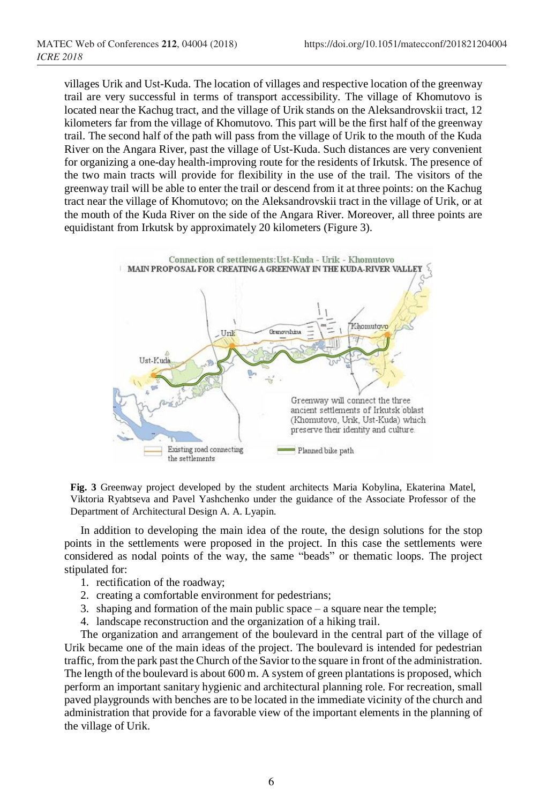villages Urik and Ust-Kuda. The location of villages and respective location of the greenway trail are very successful in terms of transport accessibility. The village of Khomutovo is located near the Kachug tract, and the village of Urik stands on the Aleksandrovskii tract, 12 kilometers far from the village of Khomutovo. This part will be the first half of the greenway trail. The second half of the path will pass from the village of Urik to the mouth of the Kuda River on the Angara River, past the village of Ust-Kuda. Such distances are very convenient for organizing a one-day health-improving route for the residents of Irkutsk. The presence of the two main tracts will provide for flexibility in the use of the trail. The visitors of the greenway trail will be able to enter the trail or descend from it at three points: on the Kachug tract near the village of Khomutovo; on the Aleksandrovskii tract in the village of Urik, or at the mouth of the Kuda River on the side of the Angara River. Moreover, all three points are equidistant from Irkutsk by approximately 20 kilometers (Figure 3).



**Fig. 3** Greenway project developed by the student architects Maria Kobylina, Ekaterina Matel, Viktoria Ryabtseva and Pavel Yashchenko under the guidance of the Associate Professor of the Department of Architectural Design A. A. Lyapin.

In addition to developing the main idea of the route, the design solutions for the stop points in the settlements were proposed in the project. In this case the settlements were considered as nodal points of the way, the same "beads" or thematic loops. The project stipulated for:

- 1. rectification of the roadway;
- 2. creating a comfortable environment for pedestrians;
- 3. shaping and formation of the main public space a square near the temple;
- 4. landscape reconstruction and the organization of a hiking trail.

The organization and arrangement of the boulevard in the central part of the village of Urik became one of the main ideas of the project. The boulevard is intended for pedestrian traffic, from the park past the Church of the Savior to the square in front of the administration. The length of the boulevard is about 600 m. A system of green plantations is proposed, which perform an important sanitary hygienic and architectural planning role. For recreation, small paved playgrounds with benches are to be located in the immediate vicinity of the church and administration that provide for a favorable view of the important elements in the planning of the village of Urik.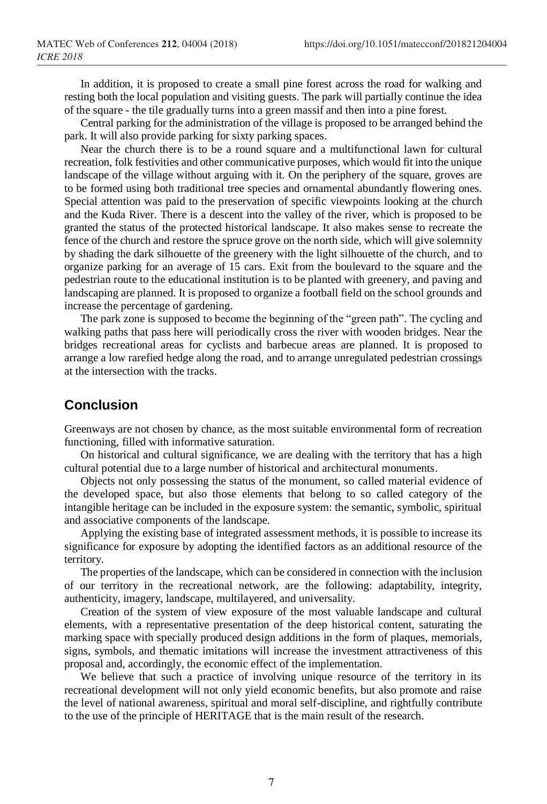In addition, it is proposed to create a small pine forest across the road for walking and resting both the local population and visiting guests. The park will partially continue the idea of the square - the tile gradually turns into a green massif and then into a pine forest.

Central parking for the administration of the village is proposed to be arranged behind the park. It will also provide parking for sixty parking spaces.

Near the church there is to be a round square and a multifunctional lawn for cultural recreation, folk festivities and other communicative purposes, which would fit into the unique landscape of the village without arguing with it. On the periphery of the square, groves are to be formed using both traditional tree species and ornamental abundantly flowering ones. Special attention was paid to the preservation of specific viewpoints looking at the church and the Kuda River. There is a descent into the valley of the river, which is proposed to be granted the status of the protected historical landscape. It also makes sense to recreate the fence of the church and restore the spruce grove on the north side, which will give solemnity by shading the dark silhouette of the greenery with the light silhouette of the church, and to organize parking for an average of 15 cars. Exit from the boulevard to the square and the pedestrian route to the educational institution is to be planted with greenery, and paving and landscaping are planned. It is proposed to organize a football field on the school grounds and increase the percentage of gardening.

The park zone is supposed to become the beginning of the "green path". The cycling and walking paths that pass here will periodically cross the river with wooden bridges. Near the bridges recreational areas for cyclists and barbecue areas are planned. It is proposed to arrange a low rarefied hedge along the road, and to arrange unregulated pedestrian crossings at the intersection with the tracks.

## **Conclusion**

Greenways are not chosen by chance, as the most suitable environmental form of recreation functioning, filled with informative saturation.

On historical and cultural significance, we are dealing with the territory that has a high cultural potential due to a large number of historical and architectural monuments.

Objects not only possessing the status of the monument, so called material evidence of the developed space, but also those elements that belong to so called category of the intangible heritage can be included in the exposure system: the semantic, symbolic, spiritual and associative components of the landscape.

Applying the existing base of integrated assessment methods, it is possible to increase its significance for exposure by adopting the identified factors as an additional resource of the territory.

The properties of the landscape, which can be considered in connection with the inclusion of our territory in the recreational network, are the following: adaptability, integrity, authenticity, imagery, landscape, multilayered, and universality.

Creation of the system of view exposure of the most valuable landscape and cultural elements, with a representative presentation of the deep historical content, saturating the marking space with specially produced design additions in the form of plaques, memorials, signs, symbols, and thematic imitations will increase the investment attractiveness of this proposal and, accordingly, the economic effect of the implementation.

We believe that such a practice of involving unique resource of the territory in its recreational development will not only yield economic benefits, but also promote and raise the level of national awareness, spiritual and moral self-discipline, and rightfully contribute to the use of the principle of HERITAGE that is the main result of the research.